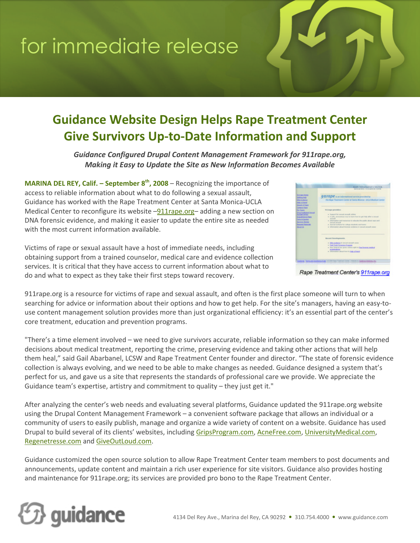# for immediate release

### **Guidance Website Design Helps Rape Treatment Center Give Survivors Up-to-Date Information and Support**

*Guidance Configured Drupal Content Management Framework for 911rape.org, Making it Easy to Update the Site as New Information Becomes Available*

**MARINA DEL REY, Calif. – September 8 th, 2008** – Recognizing the importance of access to reliable information about what to do following a sexual assault, Guidance has worked with the Rape Treatment Center at Santa Monica-UCLA Medical Center to reconfigure its website –911rape.org– adding a new section on DNA forensic evidence, and making it easier to update the entire site as needed with the most current information available.

Victims of rape or sexual assault have a host of immediate needs, including obtaining support from a trained counselor, medical care and evidence collection services. It is critical that they have access to current information about what to do and what to expect as they take their first steps toward recovery.

|                                                                                                                                                                                                                                                                                                                                                   | <b>RAPE THEATMENT CENTER</b><br>sente a total at to serve a result                                                                                                                                                                                                                                                                                                          |
|---------------------------------------------------------------------------------------------------------------------------------------------------------------------------------------------------------------------------------------------------------------------------------------------------------------------------------------------------|-----------------------------------------------------------------------------------------------------------------------------------------------------------------------------------------------------------------------------------------------------------------------------------------------------------------------------------------------------------------------------|
| <b>ELEMIN PARK</b><br>Senting metal<br><b>ON Extent</b><br><b>Market at Allianced</b><br><b>Transf. of Augen</b><br>Deput Rate<br><b><i>Photo Sharehold</i></b><br><b>Disp Facilitated Security</b><br><b>Annual Artist</b><br><b>Kidsdelbergs Rake</b><br>Tata & Gallery<br>Surviva Morrison<br><b><i>SALARE MANUEL</i></b><br><b>Manual Law</b> | 911/0pe a minimum severanted to<br>The Riger Treatment Center at Santa Monical - ECLA Medical Center                                                                                                                                                                                                                                                                        |
|                                                                                                                                                                                                                                                                                                                                                   | Wil Arrages cannotalism:<br>a Transport for centred inversed unlines.<br>a A sale, answerse was to learn hearty pat help after a second<br><b>CONTRACTOR</b><br>a defensation profinancements advantable stands about race and<br>warren's average<br>a figured various for college students and inners.<br>a defectedned about forecast positions in record accord copyri- |
|                                                                                                                                                                                                                                                                                                                                                   | <b>Bacant Ferriturescots</b><br>a 1998 publicize in central consol counts<br>· And Such Avenues Aregues<br>a three factor at the about collected traffic to the forming marked<br><b><i>STATISTICS</i></b><br>a private and lost in take a long                                                                                                                             |
|                                                                                                                                                                                                                                                                                                                                                   | to and constitute of part in 1970 hast Treatment Center. Instants to dealers a bandona line                                                                                                                                                                                                                                                                                 |

911rape.org is a resource for victims of rape and sexual assault, and often is the first place someone will turn to when searching for advice or information about their options and how to get help. For the site's managers, having an easy-touse content management solution provides more than just organizational efficiency: it's an essential part of the center's core treatment, education and prevention programs.

"There's a time element involved – we need to give survivors accurate, reliable information so they can make informed decisions about medical treatment, reporting the crime, preserving evidence and taking other actions that will help them heal," said Gail Abarbanel, LCSW and Rape Treatment Center founder and director. "The state of forensic evidence collection is always evolving, and we need to be able to make changes as needed. Guidance designed a system that's perfect for us, and gave us a site that represents the standards of professional care we provide. We appreciate the Guidance team's expertise, artistry and commitment to quality – they just get it."

After analyzing the center's web needs and evaluating several platforms, Guidance updated the 911rape.org website using the Drupal Content Management Framework – a convenient software package that allows an individual or a community of users to easily publish, manage and organize a wide variety of content on a website. Guidance has used Drupal to build several of its clients' websites, including GripsProgram.com, AcneFree.com, UniversityMedical.com, Regenetresse.com and GiveOutLoud.com.

Guidance customized the open source solution to allow Rape Treatment Center team members to post documents and announcements, update content and maintain a rich user experience for site visitors. Guidance also provides hosting and maintenance for 911rape.org; its services are provided pro bono to the Rape Treatment Center.



Rape Treatment Center's 911 rape.org